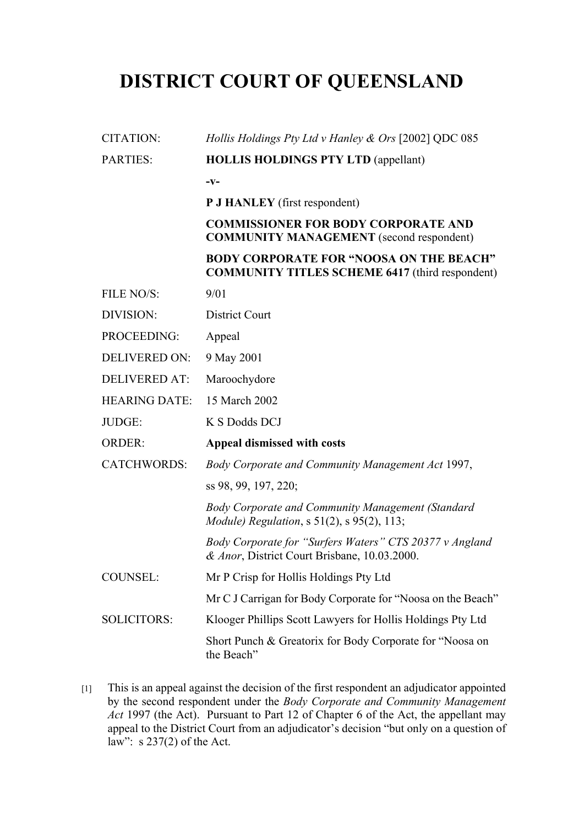## **DISTRICT COURT OF QUEENSLAND**

| <b>CITATION:</b>     | Hollis Holdings Pty Ltd v Hanley & Ors [2002] QDC 085                                                    |  |  |  |  |
|----------------------|----------------------------------------------------------------------------------------------------------|--|--|--|--|
| <b>PARTIES:</b>      | <b>HOLLIS HOLDINGS PTY LTD (appellant)</b>                                                               |  |  |  |  |
|                      | $-V-$                                                                                                    |  |  |  |  |
|                      | P J HANLEY (first respondent)                                                                            |  |  |  |  |
|                      | <b>COMMISSIONER FOR BODY CORPORATE AND</b><br><b>COMMUNITY MANAGEMENT</b> (second respondent)            |  |  |  |  |
|                      | <b>BODY CORPORATE FOR "NOOSA ON THE BEACH"</b><br><b>COMMUNITY TITLES SCHEME 6417 (third respondent)</b> |  |  |  |  |
| FILE NO/S:           | 9/01                                                                                                     |  |  |  |  |
| DIVISION:            | <b>District Court</b>                                                                                    |  |  |  |  |
| PROCEEDING:          | Appeal                                                                                                   |  |  |  |  |
| <b>DELIVERED ON:</b> | 9 May 2001                                                                                               |  |  |  |  |
| <b>DELIVERED AT:</b> | Maroochydore                                                                                             |  |  |  |  |
| <b>HEARING DATE:</b> | 15 March 2002                                                                                            |  |  |  |  |
| JUDGE:               | K S Dodds DCJ                                                                                            |  |  |  |  |
| <b>ORDER:</b>        | Appeal dismissed with costs                                                                              |  |  |  |  |
| <b>CATCHWORDS:</b>   | Body Corporate and Community Management Act 1997,                                                        |  |  |  |  |
|                      | ss 98, 99, 197, 220;                                                                                     |  |  |  |  |
|                      | Body Corporate and Community Management (Standard<br><i>Module)</i> Regulation, s 51(2), s 95(2), 113;   |  |  |  |  |
|                      | Body Corporate for "Surfers Waters" CTS 20377 v Angland<br>& Anor, District Court Brisbane, 10.03.2000.  |  |  |  |  |
| <b>COUNSEL:</b>      | Mr P Crisp for Hollis Holdings Pty Ltd                                                                   |  |  |  |  |
|                      | Mr C J Carrigan for Body Corporate for "Noosa on the Beach"                                              |  |  |  |  |
| <b>SOLICITORS:</b>   | Klooger Phillips Scott Lawyers for Hollis Holdings Pty Ltd                                               |  |  |  |  |
|                      | Short Punch & Greatorix for Body Corporate for "Noosa on<br>the Beach"                                   |  |  |  |  |

[1] This is an appeal against the decision of the first respondent an adjudicator appointed by the second respondent under the *Body Corporate and Community Management Act* 1997 (the Act). Pursuant to Part 12 of Chapter 6 of the Act, the appellant may appeal to the District Court from an adjudicator's decision "but only on a question of law": s 237(2) of the Act.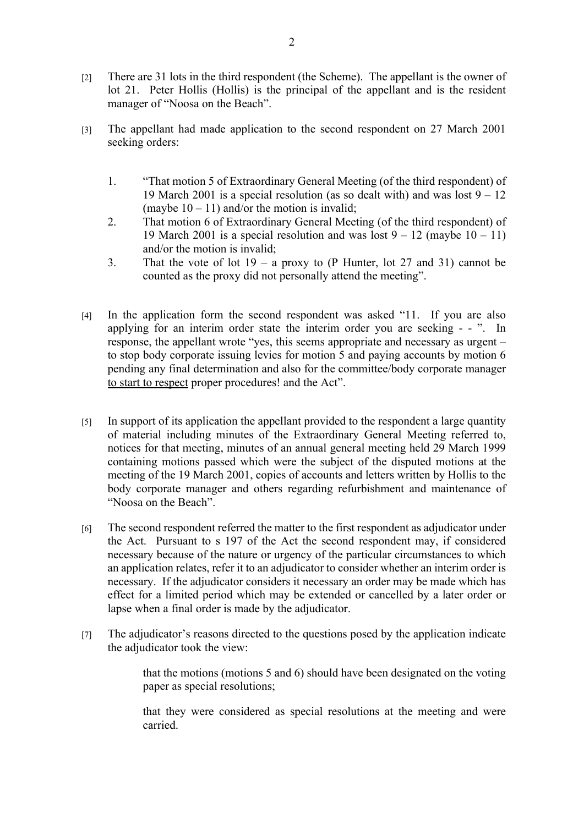- [2] There are 31 lots in the third respondent (the Scheme). The appellant is the owner of lot 21. Peter Hollis (Hollis) is the principal of the appellant and is the resident manager of "Noosa on the Beach".
- [3] The appellant had made application to the second respondent on 27 March 2001 seeking orders:
	- 1. "That motion 5 of Extraordinary General Meeting (of the third respondent) of 19 March 2001 is a special resolution (as so dealt with) and was lost  $9 - 12$ (maybe  $10 - 11$ ) and/or the motion is invalid;
	- 2. That motion 6 of Extraordinary General Meeting (of the third respondent) of 19 March 2001 is a special resolution and was lost  $9 - 12$  (maybe  $10 - 11$ ) and/or the motion is invalid;
	- 3. That the vote of lot  $19 a$  proxy to (P Hunter, lot 27 and 31) cannot be counted as the proxy did not personally attend the meeting".
- [4] In the application form the second respondent was asked "11. If you are also applying for an interim order state the interim order you are seeking - - ". In response, the appellant wrote "yes, this seems appropriate and necessary as urgent – to stop body corporate issuing levies for motion 5 and paying accounts by motion 6 pending any final determination and also for the committee/body corporate manager to start to respect proper procedures! and the Act".
- [5] In support of its application the appellant provided to the respondent a large quantity of material including minutes of the Extraordinary General Meeting referred to, notices for that meeting, minutes of an annual general meeting held 29 March 1999 containing motions passed which were the subject of the disputed motions at the meeting of the 19 March 2001, copies of accounts and letters written by Hollis to the body corporate manager and others regarding refurbishment and maintenance of "Noosa on the Beach".
- [6] The second respondent referred the matter to the first respondent as adjudicator under the Act. Pursuant to s 197 of the Act the second respondent may, if considered necessary because of the nature or urgency of the particular circumstances to which an application relates, refer it to an adjudicator to consider whether an interim order is necessary. If the adjudicator considers it necessary an order may be made which has effect for a limited period which may be extended or cancelled by a later order or lapse when a final order is made by the adjudicator.
- [7] The adjudicator's reasons directed to the questions posed by the application indicate the adjudicator took the view:

that the motions (motions 5 and 6) should have been designated on the voting paper as special resolutions;

that they were considered as special resolutions at the meeting and were carried.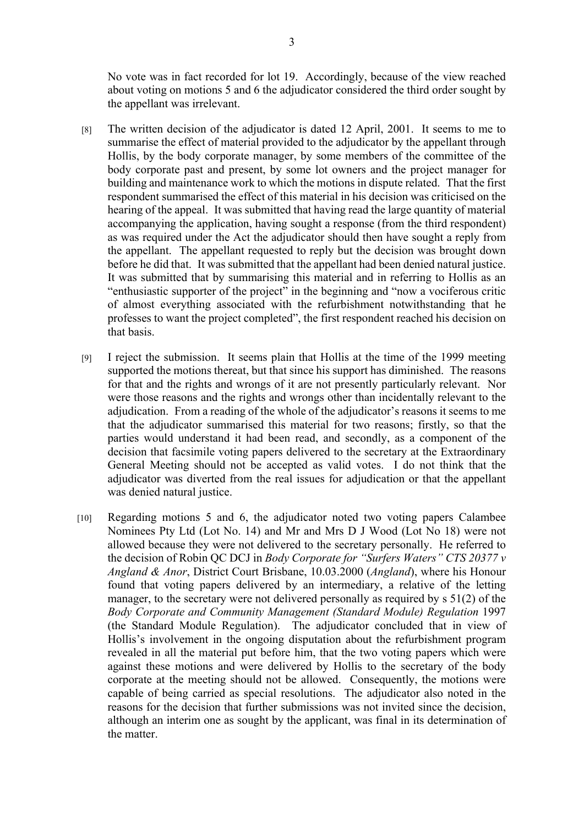No vote was in fact recorded for lot 19. Accordingly, because of the view reached about voting on motions 5 and 6 the adjudicator considered the third order sought by the appellant was irrelevant.

- [8] The written decision of the adjudicator is dated 12 April, 2001. It seems to me to summarise the effect of material provided to the adjudicator by the appellant through Hollis, by the body corporate manager, by some members of the committee of the body corporate past and present, by some lot owners and the project manager for building and maintenance work to which the motions in dispute related. That the first respondent summarised the effect of this material in his decision was criticised on the hearing of the appeal. It was submitted that having read the large quantity of material accompanying the application, having sought a response (from the third respondent) as was required under the Act the adjudicator should then have sought a reply from the appellant. The appellant requested to reply but the decision was brought down before he did that. It was submitted that the appellant had been denied natural justice. It was submitted that by summarising this material and in referring to Hollis as an "enthusiastic supporter of the project" in the beginning and "now a vociferous critic of almost everything associated with the refurbishment notwithstanding that he professes to want the project completed", the first respondent reached his decision on that basis.
- [9] I reject the submission. It seems plain that Hollis at the time of the 1999 meeting supported the motions thereat, but that since his support has diminished. The reasons for that and the rights and wrongs of it are not presently particularly relevant. Nor were those reasons and the rights and wrongs other than incidentally relevant to the adjudication. From a reading of the whole of the adjudicator's reasons it seems to me that the adjudicator summarised this material for two reasons; firstly, so that the parties would understand it had been read, and secondly, as a component of the decision that facsimile voting papers delivered to the secretary at the Extraordinary General Meeting should not be accepted as valid votes. I do not think that the adjudicator was diverted from the real issues for adjudication or that the appellant was denied natural justice.
- [10] Regarding motions 5 and 6, the adjudicator noted two voting papers Calambee Nominees Pty Ltd (Lot No. 14) and Mr and Mrs D J Wood (Lot No 18) were not allowed because they were not delivered to the secretary personally. He referred to the decision of Robin QC DCJ in *Body Corporate for "Surfers Waters" CTS 20377 v Angland & Anor*, District Court Brisbane, 10.03.2000 (*Angland*), where his Honour found that voting papers delivered by an intermediary, a relative of the letting manager, to the secretary were not delivered personally as required by s 51(2) of the *Body Corporate and Community Management (Standard Module) Regulation* 1997 (the Standard Module Regulation). The adjudicator concluded that in view of Hollis's involvement in the ongoing disputation about the refurbishment program revealed in all the material put before him, that the two voting papers which were against these motions and were delivered by Hollis to the secretary of the body corporate at the meeting should not be allowed. Consequently, the motions were capable of being carried as special resolutions. The adjudicator also noted in the reasons for the decision that further submissions was not invited since the decision, although an interim one as sought by the applicant, was final in its determination of the matter.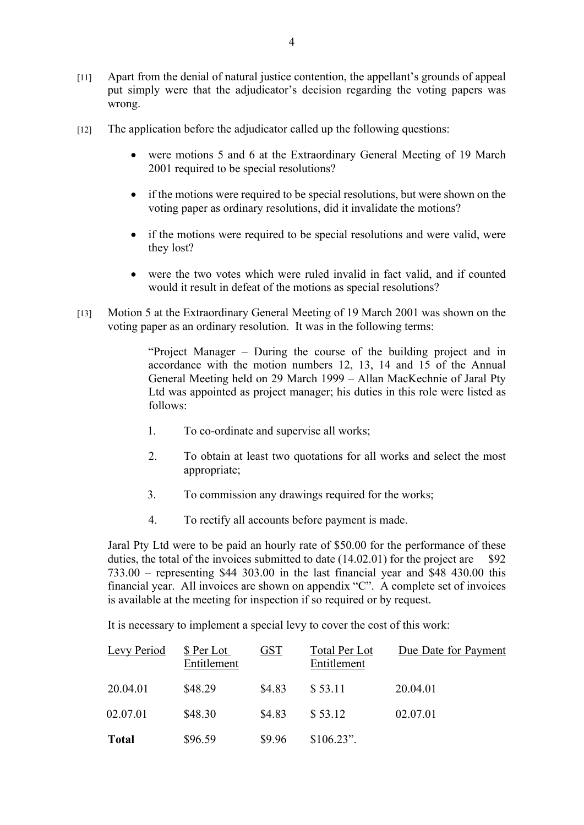- [11] Apart from the denial of natural justice contention, the appellant's grounds of appeal put simply were that the adjudicator's decision regarding the voting papers was wrong.
- [12] The application before the adjudicator called up the following questions:
	- were motions 5 and 6 at the Extraordinary General Meeting of 19 March 2001 required to be special resolutions?
	- if the motions were required to be special resolutions, but were shown on the voting paper as ordinary resolutions, did it invalidate the motions?
	- if the motions were required to be special resolutions and were valid, were they lost?
	- were the two votes which were ruled invalid in fact valid, and if counted would it result in defeat of the motions as special resolutions?
- [13] Motion 5 at the Extraordinary General Meeting of 19 March 2001 was shown on the voting paper as an ordinary resolution. It was in the following terms:

"Project Manager – During the course of the building project and in accordance with the motion numbers 12, 13, 14 and 15 of the Annual General Meeting held on 29 March 1999 – Allan MacKechnie of Jaral Pty Ltd was appointed as project manager; his duties in this role were listed as follows:

- 1. To co-ordinate and supervise all works;
- 2. To obtain at least two quotations for all works and select the most appropriate;
- 3. To commission any drawings required for the works;
- 4. To rectify all accounts before payment is made.

Jaral Pty Ltd were to be paid an hourly rate of \$50.00 for the performance of these duties, the total of the invoices submitted to date  $(14.02.01)$  for the project are \$92 733.00 – representing \$44 303.00 in the last financial year and \$48 430.00 this financial year. All invoices are shown on appendix "C". A complete set of invoices is available at the meeting for inspection if so required or by request.

It is necessary to implement a special levy to cover the cost of this work:

| Levy Period  | \$ Per Lot<br>Entitlement | <b>GST</b> | Total Per Lot<br>Entitlement | Due Date for Payment |
|--------------|---------------------------|------------|------------------------------|----------------------|
| 20.04.01     | \$48.29                   | \$4.83     | \$53.11                      | 20.04.01             |
| 02.07.01     | \$48.30                   | \$4.83     | \$53.12                      | 02.07.01             |
| <b>Total</b> | \$96.59                   | \$9.96     | $$106.23$ ".                 |                      |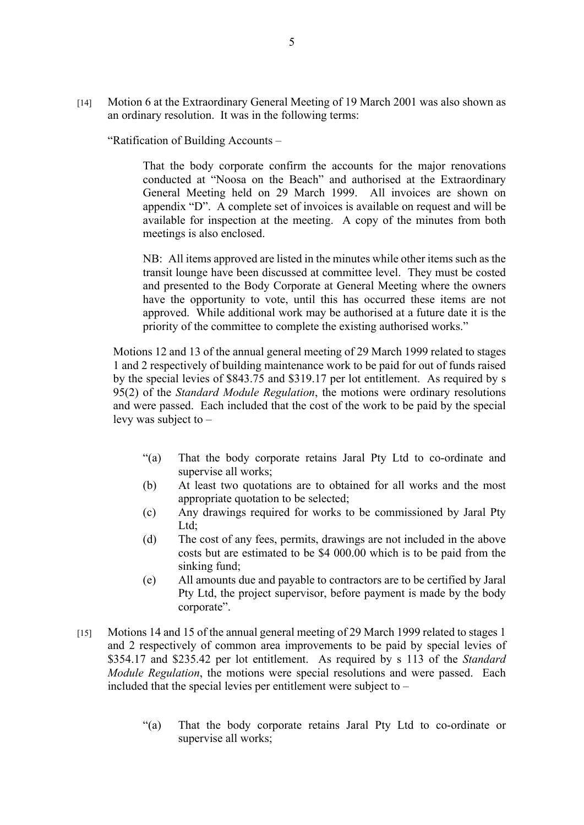[14] Motion 6 at the Extraordinary General Meeting of 19 March 2001 was also shown as an ordinary resolution. It was in the following terms:

"Ratification of Building Accounts –

That the body corporate confirm the accounts for the major renovations conducted at "Noosa on the Beach" and authorised at the Extraordinary General Meeting held on 29 March 1999. All invoices are shown on appendix "D". A complete set of invoices is available on request and will be available for inspection at the meeting. A copy of the minutes from both meetings is also enclosed.

NB: All items approved are listed in the minutes while other items such as the transit lounge have been discussed at committee level. They must be costed and presented to the Body Corporate at General Meeting where the owners have the opportunity to vote, until this has occurred these items are not approved. While additional work may be authorised at a future date it is the priority of the committee to complete the existing authorised works."

Motions 12 and 13 of the annual general meeting of 29 March 1999 related to stages 1 and 2 respectively of building maintenance work to be paid for out of funds raised by the special levies of \$843.75 and \$319.17 per lot entitlement. As required by s 95(2) of the *Standard Module Regulation*, the motions were ordinary resolutions and were passed. Each included that the cost of the work to be paid by the special levy was subject to –

- "(a) That the body corporate retains Jaral Pty Ltd to co-ordinate and supervise all works;
- (b) At least two quotations are to obtained for all works and the most appropriate quotation to be selected;
- (c) Any drawings required for works to be commissioned by Jaral Pty Ltd:
- (d) The cost of any fees, permits, drawings are not included in the above costs but are estimated to be \$4 000.00 which is to be paid from the sinking fund;
- (e) All amounts due and payable to contractors are to be certified by Jaral Pty Ltd, the project supervisor, before payment is made by the body corporate".
- [15] Motions 14 and 15 of the annual general meeting of 29 March 1999 related to stages 1 and 2 respectively of common area improvements to be paid by special levies of \$354.17 and \$235.42 per lot entitlement. As required by s 113 of the *Standard Module Regulation*, the motions were special resolutions and were passed. Each included that the special levies per entitlement were subject to –
	- "(a) That the body corporate retains Jaral Pty Ltd to co-ordinate or supervise all works;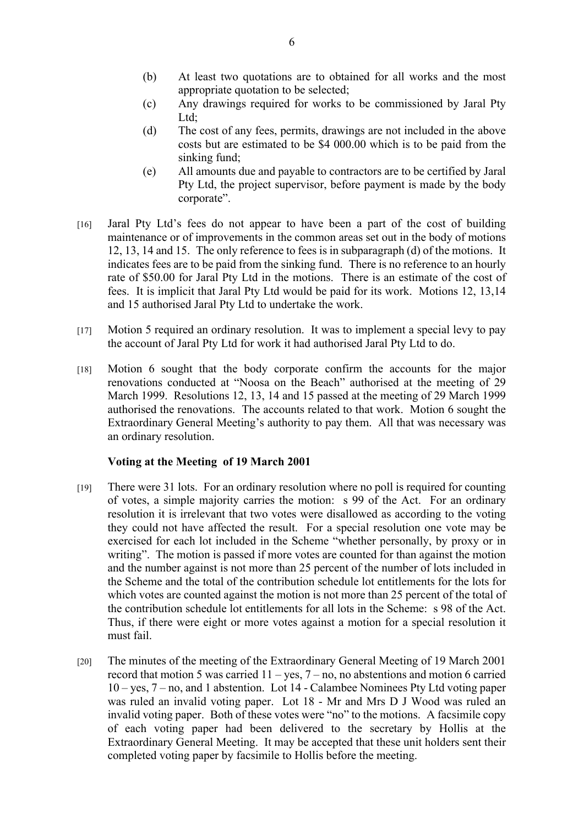- (b) At least two quotations are to obtained for all works and the most appropriate quotation to be selected;
- (c) Any drawings required for works to be commissioned by Jaral Pty Ltd;
- (d) The cost of any fees, permits, drawings are not included in the above costs but are estimated to be \$4 000.00 which is to be paid from the sinking fund;
- (e) All amounts due and payable to contractors are to be certified by Jaral Pty Ltd, the project supervisor, before payment is made by the body corporate".
- [16] Jaral Pty Ltd's fees do not appear to have been a part of the cost of building maintenance or of improvements in the common areas set out in the body of motions 12, 13, 14 and 15. The only reference to fees is in subparagraph (d) of the motions. It indicates fees are to be paid from the sinking fund. There is no reference to an hourly rate of \$50.00 for Jaral Pty Ltd in the motions. There is an estimate of the cost of fees. It is implicit that Jaral Pty Ltd would be paid for its work. Motions 12, 13,14 and 15 authorised Jaral Pty Ltd to undertake the work.
- [17] Motion 5 required an ordinary resolution. It was to implement a special levy to pay the account of Jaral Pty Ltd for work it had authorised Jaral Pty Ltd to do.
- [18] Motion 6 sought that the body corporate confirm the accounts for the major renovations conducted at "Noosa on the Beach" authorised at the meeting of 29 March 1999. Resolutions 12, 13, 14 and 15 passed at the meeting of 29 March 1999 authorised the renovations. The accounts related to that work. Motion 6 sought the Extraordinary General Meeting's authority to pay them. All that was necessary was an ordinary resolution.

## **Voting at the Meeting of 19 March 2001**

- [19] There were 31 lots. For an ordinary resolution where no poll is required for counting of votes, a simple majority carries the motion: s 99 of the Act. For an ordinary resolution it is irrelevant that two votes were disallowed as according to the voting they could not have affected the result. For a special resolution one vote may be exercised for each lot included in the Scheme "whether personally, by proxy or in writing". The motion is passed if more votes are counted for than against the motion and the number against is not more than 25 percent of the number of lots included in the Scheme and the total of the contribution schedule lot entitlements for the lots for which votes are counted against the motion is not more than 25 percent of the total of the contribution schedule lot entitlements for all lots in the Scheme: s 98 of the Act. Thus, if there were eight or more votes against a motion for a special resolution it must fail.
- [20] The minutes of the meeting of the Extraordinary General Meeting of 19 March 2001 record that motion 5 was carried 11 – yes, 7 – no, no abstentions and motion 6 carried 10 – yes, 7 – no, and 1 abstention. Lot 14 - Calambee Nominees Pty Ltd voting paper was ruled an invalid voting paper. Lot 18 - Mr and Mrs D J Wood was ruled an invalid voting paper. Both of these votes were "no" to the motions. A facsimile copy of each voting paper had been delivered to the secretary by Hollis at the Extraordinary General Meeting. It may be accepted that these unit holders sent their completed voting paper by facsimile to Hollis before the meeting.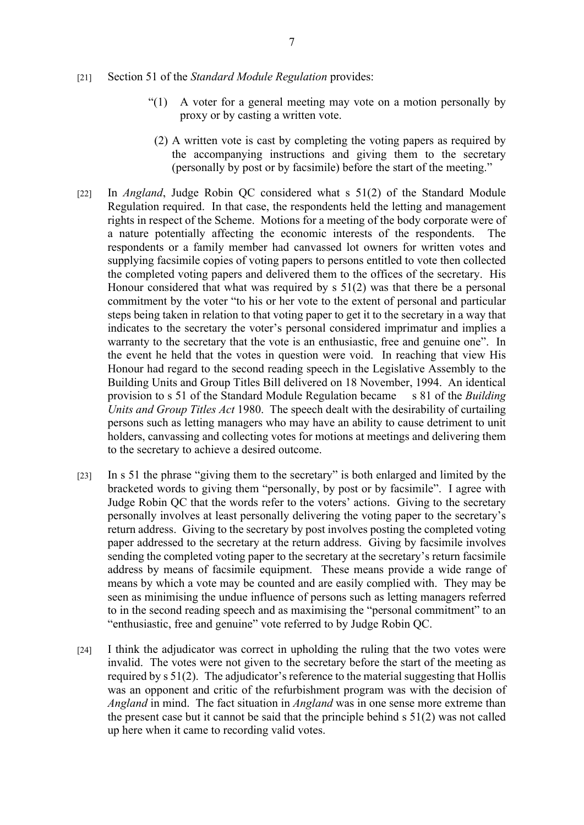- [21] Section 51 of the *Standard Module Regulation* provides:
	- "(1) A voter for a general meeting may vote on a motion personally by proxy or by casting a written vote.
	- (2) A written vote is cast by completing the voting papers as required by the accompanying instructions and giving them to the secretary (personally by post or by facsimile) before the start of the meeting."
- [22] In *Angland*, Judge Robin QC considered what s 51(2) of the Standard Module Regulation required. In that case, the respondents held the letting and management rights in respect of the Scheme. Motions for a meeting of the body corporate were of a nature potentially affecting the economic interests of the respondents. The respondents or a family member had canvassed lot owners for written votes and supplying facsimile copies of voting papers to persons entitled to vote then collected the completed voting papers and delivered them to the offices of the secretary. His Honour considered that what was required by s 51(2) was that there be a personal commitment by the voter "to his or her vote to the extent of personal and particular steps being taken in relation to that voting paper to get it to the secretary in a way that indicates to the secretary the voter's personal considered imprimatur and implies a warranty to the secretary that the vote is an enthusiastic, free and genuine one". In the event he held that the votes in question were void. In reaching that view His Honour had regard to the second reading speech in the Legislative Assembly to the Building Units and Group Titles Bill delivered on 18 November, 1994. An identical provision to s 51 of the Standard Module Regulation became s 81 of the *Building Units and Group Titles Act* 1980. The speech dealt with the desirability of curtailing persons such as letting managers who may have an ability to cause detriment to unit holders, canvassing and collecting votes for motions at meetings and delivering them to the secretary to achieve a desired outcome.
- [23] In s 51 the phrase "giving them to the secretary" is both enlarged and limited by the bracketed words to giving them "personally, by post or by facsimile". I agree with Judge Robin QC that the words refer to the voters' actions. Giving to the secretary personally involves at least personally delivering the voting paper to the secretary's return address. Giving to the secretary by post involves posting the completed voting paper addressed to the secretary at the return address. Giving by facsimile involves sending the completed voting paper to the secretary at the secretary's return facsimile address by means of facsimile equipment. These means provide a wide range of means by which a vote may be counted and are easily complied with. They may be seen as minimising the undue influence of persons such as letting managers referred to in the second reading speech and as maximising the "personal commitment" to an "enthusiastic, free and genuine" vote referred to by Judge Robin QC.
- [24] I think the adjudicator was correct in upholding the ruling that the two votes were invalid. The votes were not given to the secretary before the start of the meeting as required by s 51(2). The adjudicator's reference to the material suggesting that Hollis was an opponent and critic of the refurbishment program was with the decision of *Angland* in mind. The fact situation in *Angland* was in one sense more extreme than the present case but it cannot be said that the principle behind s 51(2) was not called up here when it came to recording valid votes.